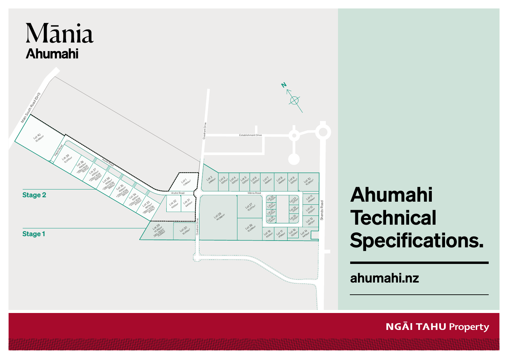

# Ahumahi **Technical** Specifications.

ahumahi.nz

**NGĀI TAHU Property**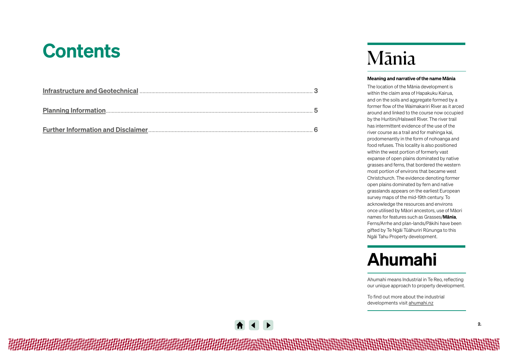# **Contents**

# Mānia

#### Meaning and narrative of the name Mānia

The location of the Mānia development is within the claim area of Hapakuku Kairua, and on the soils and aggregate formed by a former flow of the Waimakariri River as it arced around and linked to the course now occupied by the Huritini/Halswell River. The river trail has intermittent evidence of the use of the river course as a trail and for mahinga kai, prodomenantly in the form of nohoanga and food refuses. This locality is also positioned within the west portion of formerly vast expanse of open plains dominated by native grasses and ferns, that bordered the western most portion of environs that became west Christchurch. The evidence denoting former open plains dominated by fern and native grasslands appears on the earliest European survey maps of the mid-19th century. To acknowledge the resources and environs once utilised by Māori ancestors, use of Māori names for features such as Grasses/Mānia, Ferns/Arrhe and plan-lands/Pākihi have been gifted by Te Ngāi Tūāhuriri Rūnunga to this Ngāi Tahu Property development.

# Ahumahi

Ahumahi means Industrial in Te Reo, reflecting our unique approach to property development.

To find out more about the industrial developments visit [ahumahi.nz](https://ngaitahuproperty.co.nz/industrial/)

*相对的时间的时间的时间的时间的时间的时间的时间*的在心理的过去式和过去分词地说出过过过过去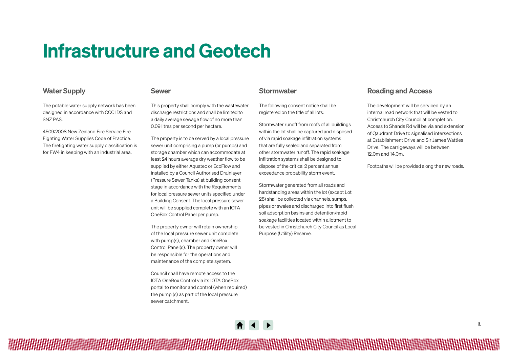# <span id="page-2-0"></span>Infrastructure and Geotech

### Water Supply

The potable water supply network has been designed in accordance with CCC IDS and SNZ PAS

4509:2008 New Zealand Fire Service Fire Fighting Water Supplies Code of Practice. The firefighting water supply classification is for FW4 in keeping with an industrial area.

### Sewer

This property shall comply with the wastewater discharge restrictions and shall be limited to a daily average sewage flow of no more than 0.09 litres per second per hectare.

The property is to be served by a local pressure sewer unit comprising a pump (or pumps) and storage chamber which can accommodate at least 24 hours average dry weather flow to be supplied by either Aquatec or EcoFlow and installed by a Council Authorised Drainlayer (Pressure Sewer Tanks) at building consent stage in accordance with the Requirements for local pressure sewer units specified under a Building Consent. The local pressure sewer unit will be supplied complete with an IOTA OneBox Control Panel per pump.

The property owner will retain ownership of the local pressure sewer unit complete with pump(s), chamber and OneBox Control Panel(s). The property owner will be responsible for the operations and maintenance of the complete system.

Council shall have remote access to the IOTA OneBox Control via its IOTA OneBox portal to monitor and control (when required) the pump (s) as part of the local pressure sewer catchment.

### **Stormwater**

The following consent notice shall be registered on the title of all lots:

Stormwater runoff from roofs of all buildings within the lot shall be captured and disposed of via rapid soakage infiltration systems that are fully sealed and separated from other stormwater runoff. The rapid soakage infiltration systems shall be designed to dispose of the critical 2 percent annual exceedance probability storm event.

Stormwater generated from all roads and hardstanding areas within the lot (except Lot 28) shall be collected via channels, sumps, pipes or swales and discharged into first flush soil adsorption basins and detention/rapid soakage facilities located within allotment to be vested in Christchurch City Council as Local Purpose (Utility) Reserve.

### Roading and Access

The development will be serviced by an internal road network that will be vested to Christchurch City Council at completion. Access to Shands Rd will be via and extension of Qaudrant Drive to signalised intersections at Establishment Drive and Sir James Watties Drive. The carrigeways will be between 12.0m and 14.0m.

Footpaths will be provided along the new roads.

*相相相相相相相相相相相相相相相相相相相相*地地做的的时代的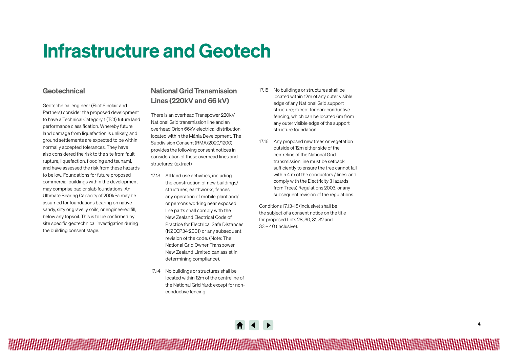# Infrastructure and Geotech

### Geotechnical

Geotechnical engineer (Eliot Sinclair and Partners) consider the proposed development to have a Technical Category 1 (TC1) future land performance classification. Whereby future land damage from liquefaction is unlikely, and ground settlements are expected to be within normally accepted tolerances. They have also considered the risk to the site from fault rupture, liquefaction, flooding and tsunami, and have assessed the risk from these hazards to be low. Foundations for future proposed commercial buildings within the development may comprise pad or slab foundations. An Ultimate Bearing Capacity of 200kPa may be assumed for foundations bearing on native sandy, silty or gravelly soils, or engineered fill, below any topsoil. This is to be confirmed by site specific geotechnical investigation during the building consent stage.

## National Grid Transmission Lines (220kV and 66 kV)

There is an overhead Transpower 220kV National Grid transmission line and an overhead Orion 66kV electrical distribution located within the Mānia Development. The Subdivision Consent (RMA/2020/1200) provides the following consent notices in consideration of these overhead lines and structures: (extract)

- 17.13 All land use activities, including the construction of new buildings/ structures, earthworks, fences, any operation of mobile plant and/ or persons working near exposed line parts shall comply with the New Zealand Electrical Code of Practice for Electrical Safe Distances (NZECP34:2001) or any subsequent revision of the code. (Note: The National Grid Owner Transpower New Zealand Limited can assist in determining compliance).
- 17.14 No buildings or structures shall be located within 12m of the centreline of the National Grid Yard; except for nonconductive fencing.
- 17.15 No buildings or structures shall be located within 12m of any outer visible edge of any National Grid support structure; except for non-conductive fencing, which can be located 6m from any outer visible edge of the support structure foundation.
- 17.16 Any proposed new trees or vegetation outside of 12m either side of the centreline of the National Grid transmission line must be setback sufficiently to ensure the tree cannot fall within 4 m of the conductors / lines; and comply with the Electricity (Hazards from Trees) Regulations 2003, or any subsequent revision of the requlations.

Conditions 17.13-16 (inclusive) shall be the subject of a consent notice on the title for proposed Lots 28, 30, 31, 32 and 33 – 40 (inclusive).



*相相相相相相相相相相相相相相相相相相相相相*相相做的的说法的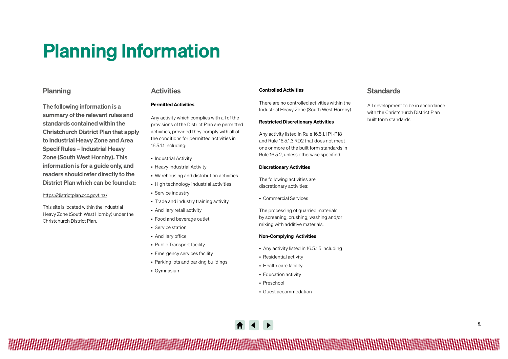# <span id="page-4-0"></span>Planning Information

### Planning

The following information is a summary of the relevant rules and standards contained within the Christchurch District Plan that apply to Industrial Heavy Zone and Area Specif Rules – Industrial Heavy Zone (South West Hornby). This information is for a guide only, and readers should refer directly to the District Plan which can be found at:

#### https://districtplan.ccc.govt.nz/

This site is located within the Industrial Heavy Zone (South West Hornby) under the Christchurch District Plan.

### **Activities**

#### Permitted Activities

Any activity which complies with all of the provisions of the District Plan are permitted activities, provided they comply with all of the conditions for permitted activities in 16.5.1.1 including:

- Industrial Activity
- Heavy Industrial Activity
- Warehousing and distribution activities
- High technology industrial activities
- Service industry
- Trade and industry training activity
- Ancillary retail activity
- Food and beverage outlet
- Service station
- Ancillary office
- Public Transport facility
- Emergency services facility
- Parking lots and parking buildings
- Gymnasium

#### Controlled Activities

There are no controlled activities within the Industrial Heavy Zone (South West Hornby).

#### Restricted Discretionary Activities

Any activity listed in Rule 16.5.1.1 P1-P18 and Rule 16.5.1.3 RD2 that does not meet one or more of the built form standards in Rule 16.5.2, unless otherwise specified.

#### Discretionary Activities

The following activities are discretionary activities:

• Commercial Services

The processing of quarried materials by screening, crushing, washing and/or mixing with additive materials.

#### Non-Complying Activities

- Any activity listed in 16.5.1.5 including
- Residential activity
- Health care facility
- Education activity
- Preschool
- Guest accommodation



*相相相相相相相相相相相相相相相相相相相*地做的的说法的说法的说法说话说话说话说话说

### **Standards**

All development to be in accordance with the Christchurch District Plan built form standards.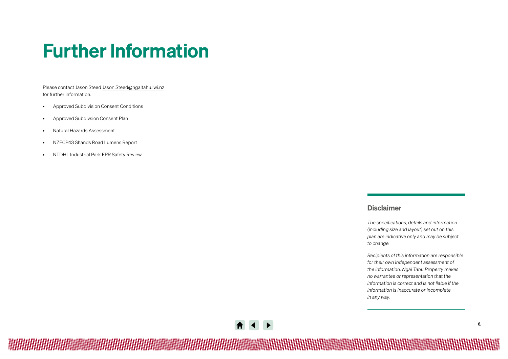# <span id="page-5-0"></span>Further Information

Please contact Jason Steed [Jason.Steed@ngaitahu.iwi.nz](mailto:%0AJason.Steed%40ngaitahu.iwi.nz%0A?subject=Query) for further information.

- Approved Subdivision Consent Conditions
- Approved Subdivsion Consent Plan
- Natural Hazards Assessment
- NZECP43 Shands Road Lumens Report
- NTDHL Industrial Park EPR Safety Review

### Disclaimer

*The specifications, details and information (including size and layout) set out on this plan are indicative only and may be subject to change.* 

*Recipients of this information are responsible for their own independent assessment of the information. Ngāi Tahu Property makes no warrantee or representation that the information is correct and is not liable if the information is inaccurate or incomplete in any way.* 

*相相相相相相相相相相相相相相相相相相相相*地地地地地地地地地地地地地地地地